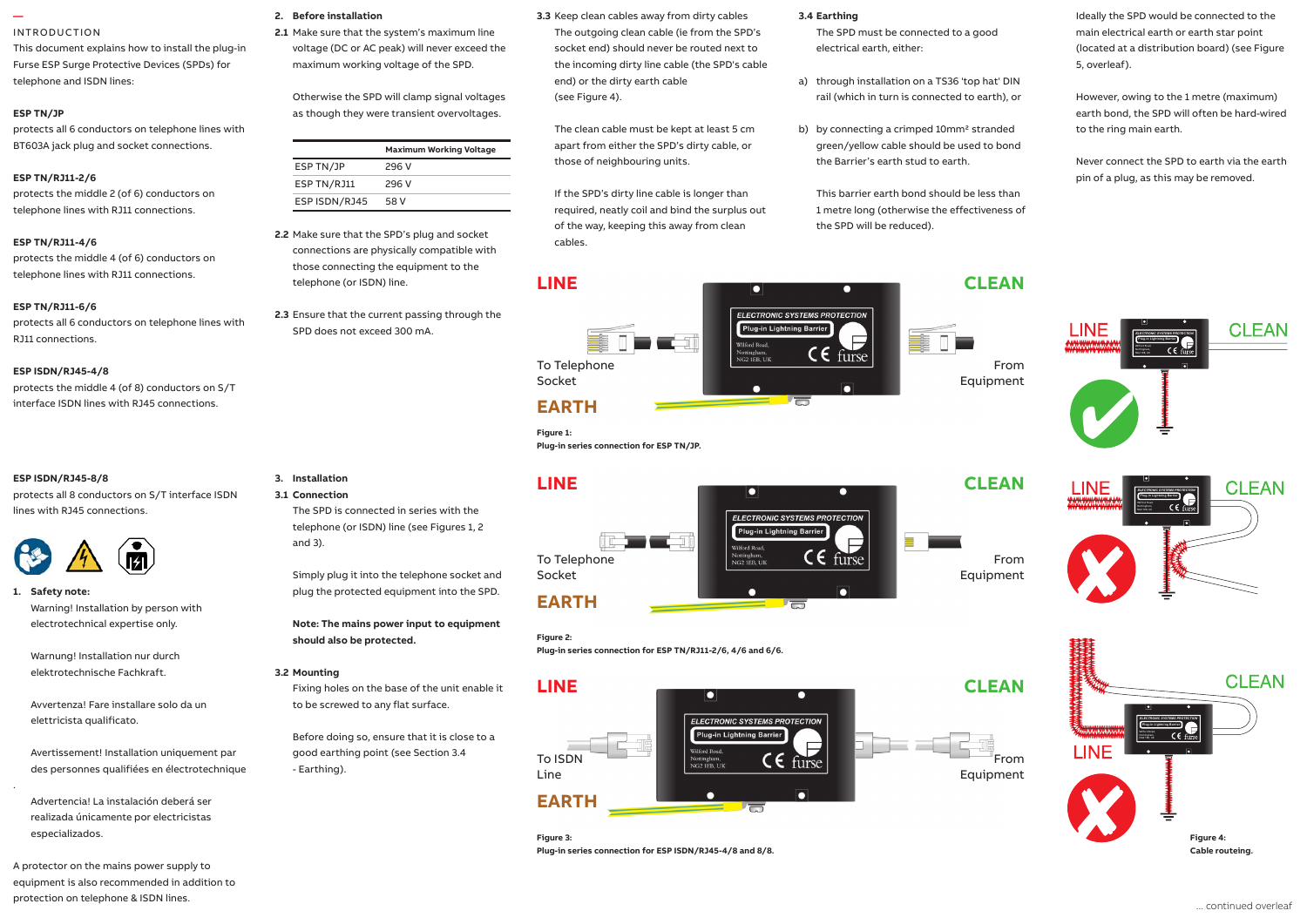### **—**  INTRODUCTION

This document explains how to install the plug-in Furse ESP Surge Protective Devices (SPDs) for telephone and ISDN lines:

## **ESP TN/JP**

protects all 6 conductors on telephone lines with BT603A jack plug and socket connections.

## **ESP TN/RJ11-2/6**

protects the middle 2 (of 6) conductors on telephone lines with RJ11 connections.

## **ESP TN/RJ11-4/6**

protects the middle 4 (of 6) conductors on telephone lines with RJ11 connections.

## **ESP TN/RJ11-6/6**

protects all 6 conductors on telephone lines with RJ11 connections.

## **ESP ISDN/RJ45-4/8**

protects the middle 4 (of 8) conductors on S/T interface ISDN lines with RJ45 connections.

## **ESP ISDN/RJ45-8/8** ESP ISDN/RJ45-8/8

.

protects all 8 conductors on S/T interface ISDN lines with RJ45 connections.



**1. Safety note:** Safety note: Warning! Installation by person with electrotechnical expertise only.

Warnung! Installation nur durch elektrotechnische Fachkraft. 1.7 The connecting leads to phase/live

Avvertenza! Fare installare solo da un elettricista qualificato.

 Avertissement! Installation uniquement par and comply with all relevant Regulations and Legislation (including BS 7671 Wiring (terminals can accept up to 25 mm2). des personnes qualifiées en électrotechnique<br>E

Advertencia! La instalación deberá ser realizada únicamente por electricistas especializados.

A protector on the mains power supply to equipment is also recommended in addition to n in 1.<br>protection on telephone & ISDN lines.

## **2. Before installation**

**2.1** Make sure that the system's maximum line voltage (DC or AC peak) will never exceed the maximum working voltage of the SPD.

Otherwise the SPD will clamp signal voltages as though they were transient overvoltages.

|               | <b>Maximum Working Voltage</b> |
|---------------|--------------------------------|
| ESP TN/JP     | 296 V                          |
| ESP TN/RJ11   | 296 V                          |
| ESP ISDN/RJ45 | 58 V                           |

**2.2** Make sure that the SPD's plug and socket connections are physically compatible with those connecting the equipment to the telephone (or ISDN) line.

**2.3** Ensure that the current passing through the SPD does not exceed 300 mA.

The SPD is connected in series with the telephone (or ISDN) line (see Figures 1, 2

To Telephone Socket

cables.

# **EARTH**

**Figure 1: Plug-in series connection for ESP TN/JP.**

**3.3** Keep clean cables away from dirty cables The outgoing clean cable (ie from the SPD's socket end) should never be routed next to the incoming dirty line cable (the SPD's cable

The clean cable must be kept at least 5 cm apart from either the SPD's dirty cable, or

If the SPD's dirty line cable is longer than required, neatly coil and bind the surplus out of the way, keeping this away from clean

-51

end) or the dirty earth cable

those of neighbouring units.

(see Figure 4).



**Figure 2: Plug-in series connection for ESP TN/RJ11-2/6, 4/6 and 6/6.**



**Figure 3: Plug-in series connection for ESP ISDN/RJ45-4/8 and 8/8.**

## **3.4 Earthing**

The SPD must be connected to a good electrical earth, either:

- a) through installation on a TS36 'top hat' DIN rail (which in turn is connected to earth), or
- b) by connecting a crimped 10mm<sup>2</sup> stranded green/yellow cable should be used to bond the Barrier's earth stud to earth.

This barrier earth bond should be less than 1 metre long (otherwise the effectiveness of the SPD will be reduced).

Ideally the SPD would be connected to the main electrical earth or earth star point (located at a distribution board) (see Figure 5, overleaf).

However, owing to the 1 metre (maximum) earth bond, the SPD will often be hard-wired to the ring main earth.

Never connect the SPD to earth via the earth pin of a plug, as this may be removed.







From

From Equipment

From Equipment

**LINE CLEAN**

Wilford Road

Nottingham,<br>NG2 1EB, UK

 $\bullet$ 

**ELECTRONIC SYSTEMS PROTECTION** Plug-in Lightning Barrier

 $\overline{\phantom{a}}$ 

Ε

 $CE$  furse

ly. **Note: The mains power input to equipment should also be protected.**

# **3.2 Mounting**

**3. Installation 3.1 Connection**

and 3). 1

 $1.4$  Connect to phase (s), neutral and earth.

Fixing holes on the base of the unit enable it to be screwed to any flat surface.

Simply plug it into the telephone socket and plug the protected equipment into the SPD.

Before doing so, ensure that it is close to a good earthing point (see Section 3.4 - Earthing).